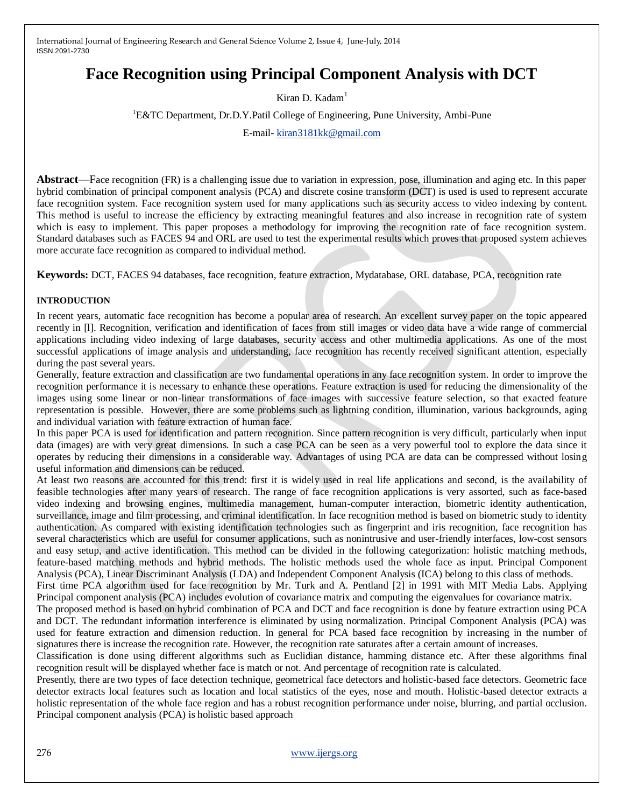# **Face Recognition using Principal Component Analysis with DCT**

Kiran D. Kadam<sup>1</sup>

<sup>1</sup>E&TC Department, Dr.D.Y.Patil College of Engineering, Pune University, Ambi-Pune

E-mail- [kiran3181kk@gmail.com](mailto:kiran3181kk@gmail.com)

**Abstract**—Face recognition (FR) is a challenging issue due to variation in expression, pose, illumination and aging etc. In this paper hybrid combination of principal component analysis (PCA) and discrete cosine transform (DCT) is used is used to represent accurate face recognition system. Face recognition system used for many applications such as security access to video indexing by content. This method is useful to increase the efficiency by extracting meaningful features and also increase in recognition rate of system which is easy to implement. This paper proposes a methodology for improving the recognition rate of face recognition system. Standard databases such as FACES 94 and ORL are used to test the experimental results which proves that proposed system achieves more accurate face recognition as compared to individual method.

**Keywords:** DCT, FACES 94 databases, face recognition, feature extraction, Mydatabase, ORL database, PCA, recognition rate

#### **INTRODUCTION**

In recent years, automatic face recognition has become a popular area of research. An excellent survey paper on the topic appeared recently in [l]. Recognition, verification and identification of faces from still images or video data have a wide range of commercial applications including video indexing of large databases, security access and other multimedia applications. As one of the most successful applications of image analysis and understanding, face recognition has recently received significant attention, especially during the past several years.

Generally, feature extraction and classification are two fundamental operations in any face recognition system. In order to improve the recognition performance it is necessary to enhance these operations. Feature extraction is used for reducing the dimensionality of the images using some linear or non-linear transformations of face images with successive feature selection, so that exacted feature representation is possible. However, there are some problems such as lightning condition, illumination, various backgrounds, aging and individual variation with feature extraction of human face.

In this paper PCA is used for identification and pattern recognition. Since pattern recognition is very difficult, particularly when input data (images) are with very great dimensions. In such a case PCA can be seen as a very powerful tool to explore the data since it operates by reducing their dimensions in a considerable way. Advantages of using PCA are data can be compressed without losing useful information and dimensions can be reduced.

At least two reasons are accounted for this trend: first it is widely used in real life applications and second, is the availability of feasible technologies after many years of research. The range of face recognition applications is very assorted, such as face-based video indexing and browsing engines, multimedia management, human-computer interaction, biometric identity authentication, surveillance, image and film processing, and criminal identification. In face recognition method is based on biometric study to identity authentication. As compared with existing identification technologies such as fingerprint and iris recognition, face recognition has several characteristics which are useful for consumer applications, such as nonintrusive and user-friendly interfaces, low-cost sensors and easy setup, and active identification. This method can be divided in the following categorization: holistic matching methods, feature-based matching methods and hybrid methods. The holistic methods used the whole face as input. Principal Component Analysis (PCA), Linear Discriminant Analysis (LDA) and Independent Component Analysis (ICA) belong to this class of methods.

First time PCA algorithm used for face recognition by Mr. Turk and A. Pentland [2] in 1991 with MIT Media Labs. Applying Principal component analysis (PCA) includes evolution of covariance matrix and computing the eigenvalues for covariance matrix.

The proposed method is based on hybrid combination of PCA and DCT and face recognition is done by feature extraction using PCA and DCT. The redundant information interference is eliminated by using normalization. Principal Component Analysis (PCA) was used for feature extraction and dimension reduction. In general for PCA based face recognition by increasing in the number of signatures there is increase the recognition rate. However, the recognition rate saturates after a certain amount of increases.

Classification is done using different algorithms such as Euclidian distance, hamming distance etc. After these algorithms final recognition result will be displayed whether face is match or not. And percentage of recognition rate is calculated.

Presently, there are two types of face detection technique, geometrical face detectors and holistic-based face detectors. Geometric face detector extracts local features such as location and local statistics of the eyes, nose and mouth. Holistic-based detector extracts a holistic representation of the whole face region and has a robust recognition performance under noise, blurring, and partial occlusion. Principal component analysis (PCA) is holistic based approach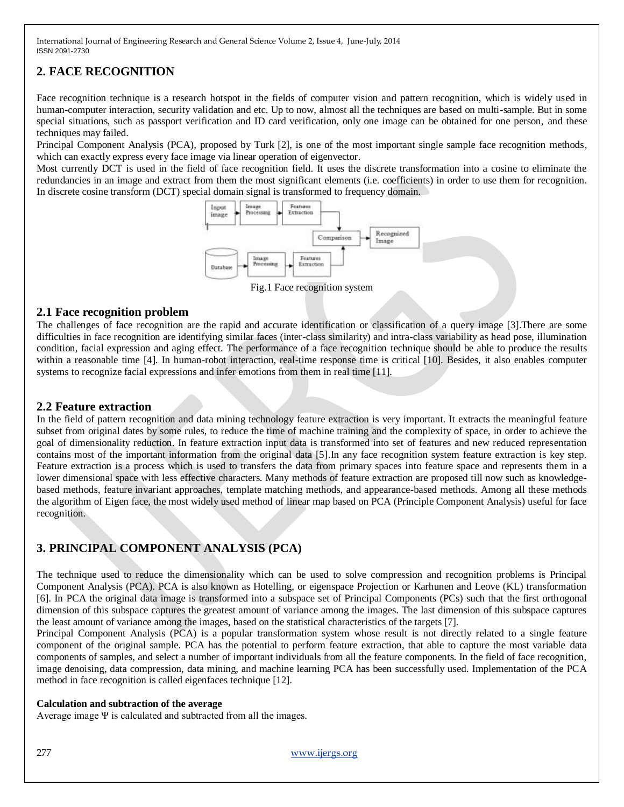# **2. FACE RECOGNITION**

Face recognition technique is a research hotspot in the fields of computer vision and pattern recognition, which is widely used in human-computer interaction, security validation and etc. Up to now, almost all the techniques are based on multi-sample. But in some special situations, such as passport verification and ID card verification, only one image can be obtained for one person, and these techniques may failed.

Principal Component Analysis (PCA), proposed by Turk [2], is one of the most important single sample face recognition methods, which can exactly express every face image via linear operation of eigenvector.

Most currently DCT is used in the field of face recognition field. It uses the discrete transformation into a cosine to eliminate the redundancies in an image and extract from them the most significant elements (i.e. coefficients) in order to use them for recognition. In discrete cosine transform (DCT) special domain signal is transformed to frequency domain.



Fig.1 Face recognition system

### **2.1 Face recognition problem**

The challenges of face recognition are the rapid and accurate identification or classification of a query image [3].There are some difficulties in face recognition are identifying similar faces (inter-class similarity) and intra-class variability as head pose, illumination condition, facial expression and aging effect. The performance of a face recognition technique should be able to produce the results within a reasonable time [4]. In human-robot interaction, real-time response time is critical [10]. Besides, it also enables computer systems to recognize facial expressions and infer emotions from them in real time [11].

## **2.2 Feature extraction**

In the field of pattern recognition and data mining technology feature extraction is very important. It extracts the meaningful feature subset from original dates by some rules, to reduce the time of machine training and the complexity of space, in order to achieve the goal of dimensionality reduction. In feature extraction input data is transformed into set of features and new reduced representation contains most of the important information from the original data [5].In any face recognition system feature extraction is key step. Feature extraction is a process which is used to transfers the data from primary spaces into feature space and represents them in a lower dimensional space with less effective characters. Many methods of feature extraction are proposed till now such as knowledgebased methods, feature invariant approaches, template matching methods, and appearance-based methods. Among all these methods the algorithm of Eigen face, the most widely used method of linear map based on PCA (Principle Component Analysis) useful for face recognition.

# **3. PRINCIPAL COMPONENT ANALYSIS (PCA)**

The technique used to reduce the dimensionality which can be used to solve compression and recognition problems is Principal Component Analysis (PCA). PCA is also known as Hotelling, or eigenspace Projection or Karhunen and Leove (KL) transformation [6]. In PCA the original data image is transformed into a subspace set of Principal Components (PCs) such that the first orthogonal dimension of this subspace captures the greatest amount of variance among the images. The last dimension of this subspace captures the least amount of variance among the images, based on the statistical characteristics of the targets [7].

Principal Component Analysis (PCA) is a popular transformation system whose result is not directly related to a single feature component of the original sample. PCA has the potential to perform feature extraction, that able to capture the most variable data components of samples, and select a number of important individuals from all the feature components. In the field of face recognition, image denoising, data compression, data mining, and machine learning PCA has been successfully used. Implementation of the PCA method in face recognition is called eigenfaces technique [12].

### **Calculation and subtraction of the average**

Average image Ψ is calculated and subtracted from all the images.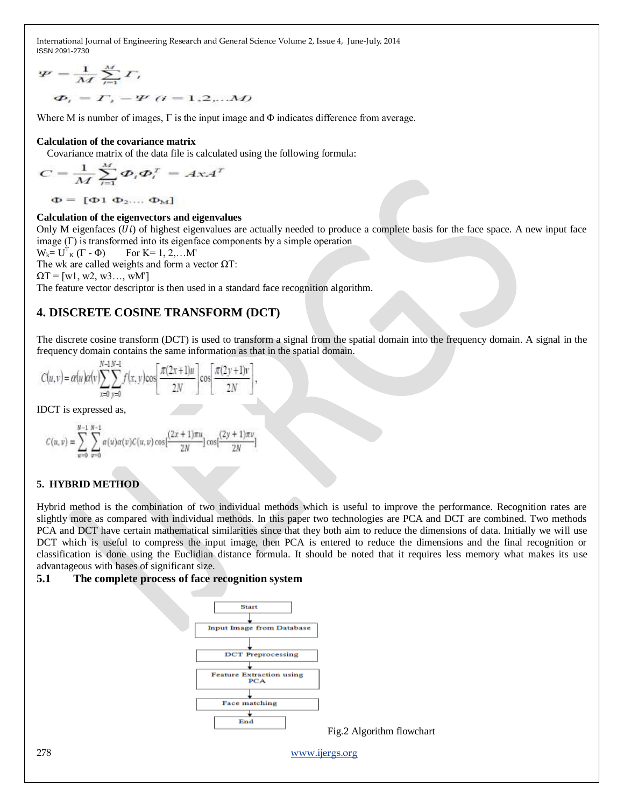$$
\Psi = \frac{1}{M} \sum_{i=1}^{M} \Gamma_i
$$
  

$$
\Phi_i = \Gamma_i - \Psi_i \quad (i = 1, 2, \dots M)
$$

Where M is number of images, Γ is the input image and Φ indicates difference from average.

#### **Calculation of the covariance matrix**

Covariance matrix of the data file is calculated using the following formula:

$$
C = \frac{1}{M} \sum_{i=1}^{M} \boldsymbol{\Phi}_i \boldsymbol{\Phi}_i^T = A \mathbf{x} A^T
$$

 $\Phi = [\Phi_1 \; \Phi_2 \dots \; \Phi_M]$ 

#### **Calculation of the eigenvectors and eigenvalues**

Only M eigenfaces  $(U_i)$  of highest eigenvalues are actually needed to produce a complete basis for the face space. A new input face image  $(\Gamma)$  is transformed into its eigenface components by a simple operation

$$
W_k = U^T_K (\Gamma - \Phi) \qquad \text{For } K = 1, 2, ... M'
$$

The wk are called weights and form a vector  $\Omega$ T:

 $\Omega T = [w1, w2, w3, \dots, wM']$ 

The feature vector descriptor is then used in a standard face recognition algorithm.

### **4. DISCRETE COSINE TRANSFORM (DCT)**

The discrete cosine transform (DCT) is used to transform a signal from the spatial domain into the frequency domain. A signal in the frequency domain contains the same information as that in the spatial domain.

$$
C(u,v) = \alpha(u)\alpha(v)\sum_{x=0}^{N-1}\sum_{y=0}^{N-1}f(x,y)\cos\left[\frac{\pi(2x+1)u}{2N}\right]\cos\left[\frac{\pi(2y+1)v}{2N}\right],
$$

IDCT is expressed as,

$$
C(u, v) = \sum_{w=0}^{N-1} \sum_{v=0}^{N-1} \alpha(u)\alpha(v)C(u, v)\cos\left[\frac{(2x+1)\pi u}{2N}\right]\cos\left[\frac{(2y+1)\pi v}{2N}\right]
$$

#### **5. HYBRID METHOD**

Hybrid method is the combination of two individual methods which is useful to improve the performance. Recognition rates are slightly more as compared with individual methods. In this paper two technologies are PCA and DCT are combined. Two methods PCA and DCT have certain mathematical similarities since that they both aim to reduce the dimensions of data. Initially we will use DCT which is useful to compress the input image, then PCA is entered to reduce the dimensions and the final recognition or classification is done using the Euclidian distance formula. It should be noted that it requires less memory what makes its use advantageous with bases of significant size.

#### **5.1 The complete process of face recognition system**

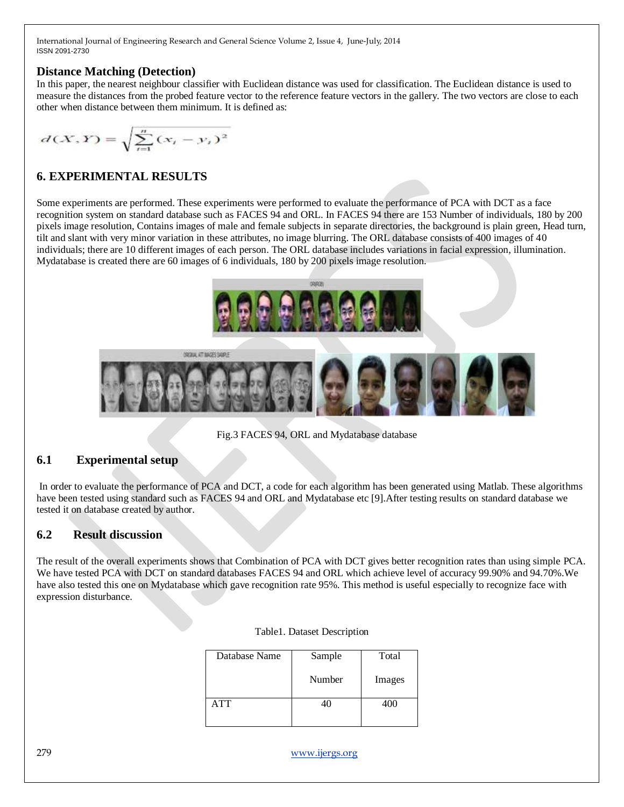## **Distance Matching (Detection)**

In this paper, the nearest neighbour classifier with Euclidean distance was used for classification. The Euclidean distance is used to measure the distances from the probed feature vector to the reference feature vectors in the gallery. The two vectors are close to each other when distance between them minimum. It is defined as:

$$
d(X,Y) = \sqrt{\sum_{i=1}^{n} (x_i - y_i)^2}
$$

# **6. EXPERIMENTAL RESULTS**

Some experiments are performed. These experiments were performed to evaluate the performance of PCA with DCT as a face recognition system on standard database such as FACES 94 and ORL. In FACES 94 there are 153 Number of individuals, 180 by 200 pixels image resolution, Contains images of male and female subjects in separate directories, the background is plain green, Head turn, tilt and slant with very minor variation in these attributes, no image blurring. The ORL database consists of 400 images of 40 individuals; there are 10 different images of each person. The ORL database includes variations in facial expression, illumination. Mydatabase is created there are 60 images of 6 individuals, 180 by 200 pixels image resolution.



Fig.3 FACES 94, ORL and Mydatabase database

# **6.1 Experimental setup**

In order to evaluate the performance of PCA and DCT, a code for each algorithm has been generated using Matlab. These algorithms have been tested using standard such as FACES 94 and ORL and Mydatabase etc [9]. After testing results on standard database we tested it on database created by author.

# **6.2 Result discussion**

The result of the overall experiments shows that Combination of PCA with DCT gives better recognition rates than using simple PCA. We have tested PCA with DCT on standard databases FACES 94 and ORL which achieve level of accuracy 99.90% and 94.70%.We have also tested this one on Mydatabase which gave recognition rate 95%. This method is useful especially to recognize face with expression disturbance.

| Database Name | Sample | Total  |
|---------------|--------|--------|
|               | Number | Images |
| <b>ATT</b>    | 40     | 400    |

|  | Table1. Dataset Description |  |  |
|--|-----------------------------|--|--|
|--|-----------------------------|--|--|